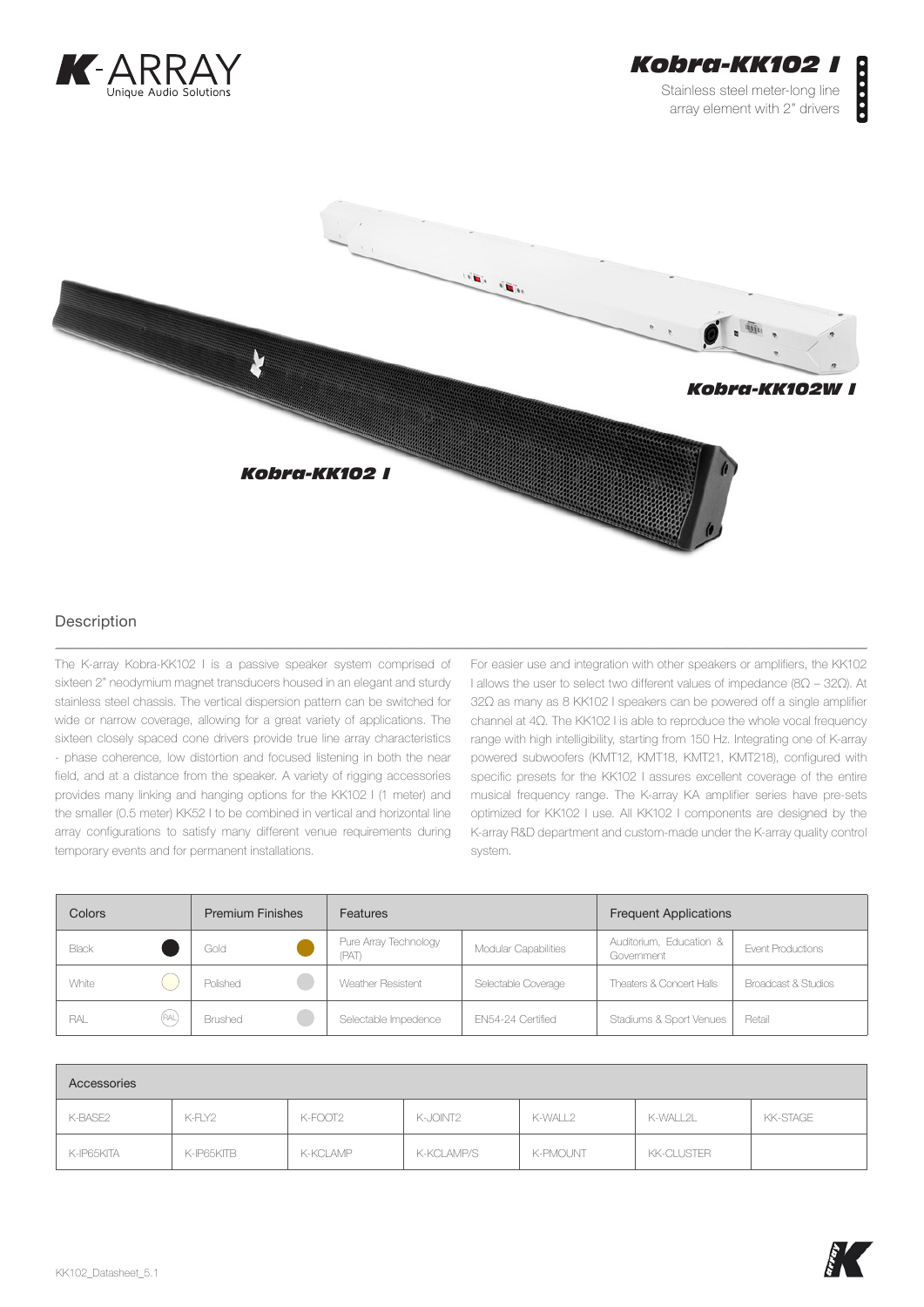



## Description

The K-array Kobra-KK102 I is a passive speaker system comprised of sixteen 2" neodymium magnet transducers housed in an elegant and sturdy stainless steel chassis. The vertical dispersion pattern can be switched for wide or narrow coverage, allowing for a great variety of applications. The sixteen closely spaced cone drivers provide true line array characteristics - phase coherence, low distortion and focused listening in both the near field, and at a distance from the speaker. A variety of rigging accessories provides many linking and hanging options for the KK102 I (1 meter) and the smaller (0.5 meter) KK52 I to be combined in vertical and horizontal line array configurations to satisfy many different venue requirements during temporary events and for permanent installations.

For easier use and integration with other speakers or amplifiers, the KK102 I allows the user to select two different values of impedance (8Ω – 32Ω). At 32Ω as many as 8 KK102 I speakers can be powered off a single amplifier channel at 4Ω. The KK102 I is able to reproduce the whole vocal frequency range with high intelligibility, starting from 150 Hz. Integrating one of K-array powered subwoofers (KMT12, KMT18, KMT21, KMT218), configured with specific presets for the KK102 I assures excellent coverage of the entire musical frequency range. The K-array KA amplifier series have pre-sets optimized for KK102 I use. All KK102 I components are designed by the K-array R&D department and custom-made under the K-array quality control system.

| Colors       | <b>Premium Finishes</b> | <b>Features</b>               |                      | <b>Frequent Applications</b>          |                     |
|--------------|-------------------------|-------------------------------|----------------------|---------------------------------------|---------------------|
| Black        | Gold                    | Pure Array Technology<br>(PAT | Modular Capabilities | Auditorium, Education &<br>Government | Event Productions   |
| White        | Polished                | Weather Resistent             | Selectable Coverage  | Theaters & Concert Halls              | Broadcast & Studios |
| (RAL)<br>RAL | Brushed                 | Selectable Impedence          | EN54-24 Certified    | Stadiums & Sport Venues               | Retail              |

| Accessories |            |          |            |                 |            |          |
|-------------|------------|----------|------------|-----------------|------------|----------|
| K-BASE2     | K-FLY2     | K-FOOT2  | K-JOINT2   | K-WALL2         | K-WALL2L   | KK-STAGE |
| K-IP65KITA  | K-IP65KITB | K-KCLAMP | K-KCLAMP/S | <b>K-PMOUNT</b> | KK-CLUSTER |          |